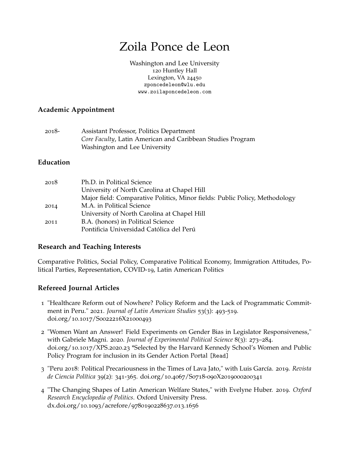# Zoila Ponce de Leon

[Washington and Lee University](https://www.wlu.edu///) 120 Huntley Hall Lexington, VA 24450 [zponcedeleon@wlu.edu](mailto:zponcedeleon@wlu.edu) [www.zoilaponcedeleon.com](http://www.zoilaponcedeleon.com/)

# **Academic Appointment**

| 2018- | Assistant Professor, Politics Department                   |
|-------|------------------------------------------------------------|
|       | Core Faculty, Latin American and Caribbean Studies Program |
|       | Washington and Lee University                              |

# **Education**

| 2018 | Ph.D. in Political Science                                                  |
|------|-----------------------------------------------------------------------------|
|      | University of North Carolina at Chapel Hill                                 |
|      | Major field: Comparative Politics, Minor fields: Public Policy, Methodology |
| 2014 | M.A. in Political Science                                                   |
|      | University of North Carolina at Chapel Hill                                 |
| 2011 | B.A. (honors) in Political Science                                          |
|      | Pontificia Universidad Católica del Perú                                    |

## **Research and Teaching Interests**

Comparative Politics, Social Policy, Comparative Political Economy, Immigration Attitudes, Political Parties, Representation, COVID-19, Latin American Politics

# **Refereed Journal Articles**

- 1 "Healthcare Reform out of Nowhere? Policy Reform and the Lack of Programmatic Commitment in Peru." 2021. *Journal of Latin American Studies* 53(3): 493-519. doi.org/10.1017/S0022216X21000493
- 2 "Women Want an Answer! Field Experiments on Gender Bias in Legislator Responsiveness," with Gabriele Magni. 2020. *Journal of Experimental Political Science* 8(3): 273–284. doi.org/10.1017/XPS.2020.23 \*Selected by the Harvard Kennedy School's Women and Public Policy Program for inclusion in its Gender Action Portal [\[Read\]](https://gap.hks.harvard.edu/women-want-answer-field-experiments-elected-officials-and-gender-bias)
- 3 "Peru 2018: Political Precariousness in the Times of Lava Jato," with Luis García. 2019. *Revista de Ciencia Política* 39(2): 341-365. doi.org/10.4067/S0718-090X2019000200341
- 4 "The Changing Shapes of Latin American Welfare States," with Evelyne Huber. 2019. *Oxford Research Encyclopedia of Politics*. Oxford University Press. dx.doi.org/10.1093/acrefore/9780190228637.013.1656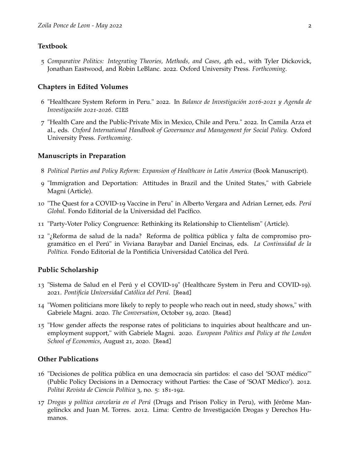#### **Textbook**

5 *Comparative Politics: Integrating Theories, Methods, and Cases*, 4th ed., with Tyler Dickovick, Jonathan Eastwood, and Robin LeBlanc. 2022. Oxford University Press. *Forthcoming*.

#### **Chapters in Edited Volumes**

- 6 "Healthcare System Reform in Peru." 2022. In *Balance de Investigación 2016-2021 y Agenda de Investigación 2021-2026*. [CIES](https://cies.org.pe/es/investigaciones/balance-y-agenda-2021/reforma-del-sistema)
- 7 "Health Care and the Public-Private Mix in Mexico, Chile and Peru." 2022. In Camila Arza et al., eds. *Oxford International Handbook of Governance and Management for Social Policy.* Oxford University Press. *Forthcoming*.

#### **Manuscripts in Preparation**

- 8 *Political Parties and Policy Reform: Expansion of Healthcare in Latin America* (Book Manuscript).
- 9 "Immigration and Deportation: Attitudes in Brazil and the United States," with Gabriele Magni (Article).
- 10 "The Quest for a COVID-19 Vaccine in Peru" in Alberto Vergara and Adrian Lerner, eds. *Perú Global.* Fondo Editorial de la Universidad del Pacífico.
- 11 "Party-Voter Policy Congruence: Rethinking its Relationship to Clientelism" (Article).
- 12 "¿Reforma de salud de la nada? Reforma de política pública y falta de compromiso programático en el Perú" in Viviana Baraybar and Daniel Encinas, eds. *La Continuidad de la Política.* Fondo Editorial de la Pontificia Universidad Católica del Perú.

#### **Public Scholarship**

- 13 "Sistema de Salud en el Perú y el COVID-19" (Healthcare System in Peru and COVID-19). 2021. *Pontificia Universidad Católica del Perú.* [\[Read\]](https://escuela.pucp.edu.pe/gobierno/publicaciones/sistema-de-salud-en-el-peru-y-el-covid-19/)
- 14 "Women politicians more likely to reply to people who reach out in need, study shows," with Gabriele Magni. 2020. *The Conversation*, October 19, 2020. [\[Read\]](https://theconversation.com/women-politicians-more-likely-to-reply-to-people-who-reach-out-in-need-study-shows-147395)
- 15 "How gender affects the response rates of politicians to inquiries about healthcare and unemployment support," with Gabriele Magni. 2020. *European Politics and Policy at the London School of Economics*, August 21, 2020. [\[Read\]](https://blogs.lse.ac.uk/europpblog/2020/08/21/how-gender-affects-the-response-rates-of-politicians-to-inquiries-about-healthcare-and-unemployment-support/)

## **Other Publications**

- 16 "Decisiones de política pública en una democracia sin partidos: el caso del 'SOAT médico'" (Public Policy Decisions in a Democracy without Parties: the Case of 'SOAT Médico'). 2012. *Politai Revista de Ciencia Política* 3, no. 5: 181-192.
- 17 *Drogas y política carcelaria en el Perú* (Drugs and Prison Policy in Peru), with Jérôme Mangelinckx and Juan M. Torres. 2012. Lima: Centro de Investigación Drogas y Derechos Humanos.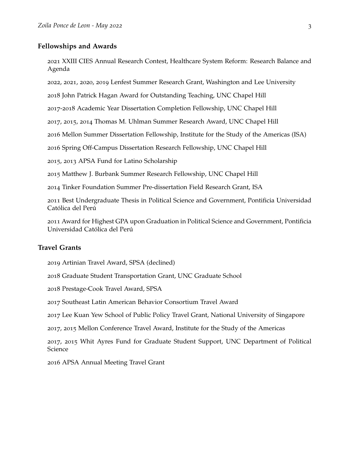#### **Fellowships and Awards**

 XXIII CIES Annual Research Contest, Healthcare System Reform: Research Balance and Agenda

, 2021, 2020, 2019 Lenfest Summer Research Grant, Washington and Lee University

John Patrick Hagan Award for Outstanding Teaching, UNC Chapel Hill

-2018 Academic Year Dissertation Completion Fellowship, UNC Chapel Hill

, 2015, 2014 Thomas M. Uhlman Summer Research Award, UNC Chapel Hill

Mellon Summer Dissertation Fellowship, Institute for the Study of the Americas (ISA)

Spring Off-Campus Dissertation Research Fellowship, UNC Chapel Hill

, 2013 APSA Fund for Latino Scholarship

Matthew J. Burbank Summer Research Fellowship, UNC Chapel Hill

Tinker Foundation Summer Pre-dissertation Field Research Grant, ISA

 Best Undergraduate Thesis in Political Science and Government, Pontificia Universidad Católica del Perú

 Award for Highest GPA upon Graduation in Political Science and Government, Pontificia Universidad Católica del Perú

## **Travel Grants**

Artinian Travel Award, SPSA (declined)

Graduate Student Transportation Grant, UNC Graduate School

Prestage-Cook Travel Award, SPSA

Southeast Latin American Behavior Consortium Travel Award

Lee Kuan Yew School of Public Policy Travel Grant, National University of Singapore

, 2015 Mellon Conference Travel Award, Institute for the Study of the Americas

, 2015 Whit Ayres Fund for Graduate Student Support, UNC Department of Political Science

APSA Annual Meeting Travel Grant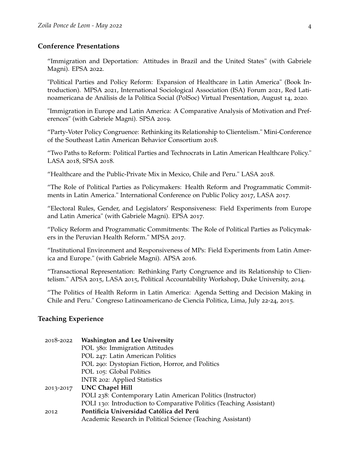## **Conference Presentations**

"Immigration and Deportation: Attitudes in Brazil and the United States" (with Gabriele Magni). EPSA 2022.

"Political Parties and Policy Reform: Expansion of Healthcare in Latin America" (Book Introduction). MPSA 2021, International Sociological Association (ISA) Forum 2021, Red Latinoamericana de Análisis de la Política Social (PolSoc) Virtual Presentation, August 14, 2020.

"Immigration in Europe and Latin America: A Comparative Analysis of Motivation and Preferences" (with Gabriele Magni). SPSA 2019.

"Party-Voter Policy Congruence: Rethinking its Relationship to Clientelism." Mini-Conference of the Southeast Latin American Behavior Consortium 2018.

"Two Paths to Reform: Political Parties and Technocrats in Latin American Healthcare Policy." LASA 2018, SPSA 2018.

"Healthcare and the Public-Private Mix in Mexico, Chile and Peru." LASA 2018.

"The Role of Political Parties as Policymakers: Health Reform and Programmatic Commitments in Latin America." International Conference on Public Policy 2017, LASA 2017.

"Electoral Rules, Gender, and Legislators' Responsiveness: Field Experiments from Europe and Latin America" (with Gabriele Magni). EPSA 2017.

"Policy Reform and Programmatic Commitments: The Role of Political Parties as Policymakers in the Peruvian Health Reform." MPSA 2017.

"Institutional Environment and Responsiveness of MPs: Field Experiments from Latin America and Europe." (with Gabriele Magni). APSA 2016.

"Transactional Representation: Rethinking Party Congruence and its Relationship to Clientelism." APSA 2015, LASA 2015, Political Accountability Workshop, Duke University, 2014.

"The Politics of Health Reform in Latin America: Agenda Setting and Decision Making in Chile and Peru." Congreso Latinoamericano de Ciencia Politica, Lima, July 22-24, 2015.

#### **Teaching Experience**

| 2018-2022 | <b>Washington and Lee University</b>                                |
|-----------|---------------------------------------------------------------------|
|           | POL 380: Immigration Attitudes                                      |
|           | POL 247: Latin American Politics                                    |
|           | POL 290: Dystopian Fiction, Horror, and Politics                    |
|           | POL 105: Global Politics                                            |
|           | INTR 202: Applied Statistics                                        |
| 2013-2017 | <b>UNC Chapel Hill</b>                                              |
|           | POLI 238: Contemporary Latin American Politics (Instructor)         |
|           | POLI 130: Introduction to Comparative Politics (Teaching Assistant) |
| 2012      | Pontificia Universidad Católica del Perú                            |
|           | Academic Research in Political Science (Teaching Assistant)         |